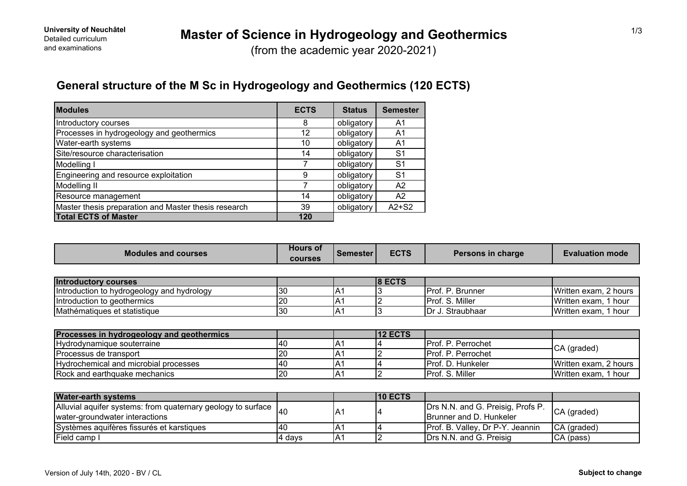(from the academic year 2020-2021)

# **General structure of the M Sc in Hydrogeology and Geothermics (120 ECTS)**

| <b>Modules</b>                                       | <b>ECTS</b> | <b>Status</b> | <b>Semester</b> |
|------------------------------------------------------|-------------|---------------|-----------------|
| Introductory courses                                 | 8           | obligatory    | A1              |
| Processes in hydrogeology and geothermics            | 12          | obligatory    | A1              |
| Water-earth systems                                  | 10          | obligatory    | A1              |
| Site/resource characterisation                       | 14          | obligatory    | S <sub>1</sub>  |
| Modelling I                                          |             | obligatory    | S <sub>1</sub>  |
| Engineering and resource exploitation                | 9           | obligatory    | S <sub>1</sub>  |
| Modelling II                                         |             | obligatory    | A <sub>2</sub>  |
| Resource management                                  | 14          | obligatory    | A2              |
| Master thesis preparation and Master thesis research | 39          | obligatory    | $A2+S2$         |
| <b>Total ECTS of Master</b>                          | 120         |               |                 |

| <b>Modules and courses</b>                 | <b>Hours of</b><br><b>courses</b> | <b>Semester</b> | <b>ECTS</b>    | Persons in charge  | <b>Evaluation mode</b> |  |
|--------------------------------------------|-----------------------------------|-----------------|----------------|--------------------|------------------------|--|
|                                            |                                   |                 |                |                    |                        |  |
| <b>Introductory courses</b>                |                                   |                 | $8$ ECTS       |                    |                        |  |
| Introduction to hydrogeology and hydrology | 30                                | IA1             |                | Prof. P. Brunner   | Written exam, 2 hours  |  |
| Introduction to geothermics                | 20                                | A <sub>1</sub>  |                | Prof. S. Miller    | Written exam, 1 hour   |  |
| Mathématiques et statistique               | 30                                | IA1             |                | Dr J. Straubhaar   | Written exam, 1 hour   |  |
|                                            |                                   |                 |                |                    |                        |  |
| Processes in hydrogeology and geothermics  |                                   |                 | <b>12 ECTS</b> |                    |                        |  |
| Hydrodynamique souterraine                 | 40                                | A <sub>1</sub>  |                | Prof. P. Perrochet | CA (graded)            |  |
| Processus de transport                     | 20                                | A <sub>1</sub>  |                | Prof. P. Perrochet |                        |  |
| Hydrochemical and microbial processes      | 40                                | IA <sub>1</sub> |                | Prof. D. Hunkeler  | Written exam, 2 hours  |  |
| Rock and earthquake mechanics              | 20                                | IA1             |                | Prof. S. Miller    | Written exam, 1 hour   |  |
|                                            |                                   |                 |                |                    |                        |  |
| <b>Water-earth systems</b>                 |                                   |                 | <b>10 ECTS</b> |                    |                        |  |

| $\sim$                                                                                                  |        |     | . |                                                                      |             |
|---------------------------------------------------------------------------------------------------------|--------|-----|---|----------------------------------------------------------------------|-------------|
| Alluvial aquifer systems: from quaternary geology to surface $ _{40}$<br>water-groundwater interactions |        | A.  |   | Drs N.N. and G. Preisig, Profs P.<br><b>IBrunner and D. Hunkeler</b> | CA (graded) |
| Systèmes aquifères fissurés et karstiques                                                               | 140    | IA. |   | <b>Prof. B. Valley, Dr P-Y. Jeannin</b>                              | CA (graded) |
| <b>Field camp I</b>                                                                                     | 4 davs | IA. |   | <b>IDrs N.N. and G. Preisig</b>                                      | ICA (pass)  |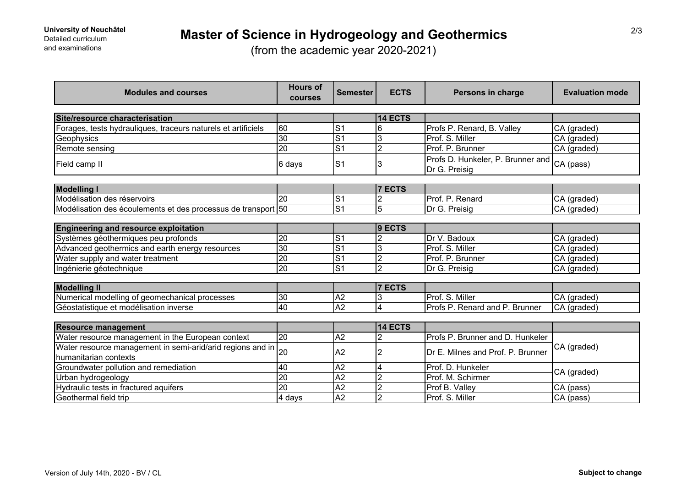(from the academic year 2020-2021)

| <b>Modules and courses</b>                                    | <b>Hours of</b><br>courses | <b>Semester</b> | <b>ECTS</b>    | Persons in charge                                  | <b>Evaluation mode</b> |  |
|---------------------------------------------------------------|----------------------------|-----------------|----------------|----------------------------------------------------|------------------------|--|
| Site/resource characterisation                                |                            |                 | 14 ECTS        |                                                    |                        |  |
| Forages, tests hydrauliques, traceurs naturels et artificiels | 60                         | $\mathsf{S}$ 1  | 6              | Profs P. Renard, B. Valley                         | CA (graded)            |  |
| Geophysics                                                    | 30                         | $\overline{S}$  | 3              | Prof. S. Miller                                    | CA (graded)            |  |
| Remote sensing                                                | $\overline{20}$            | S <sub>1</sub>  | $\overline{2}$ | Prof. P. Brunner                                   | CA (graded)            |  |
| Field camp II                                                 | 6 days                     | S <sub>1</sub>  | 3              | Profs D. Hunkeler, P. Brunner and<br>Dr G. Preisig | CA (pass)              |  |
|                                                               |                            |                 |                |                                                    |                        |  |
| <b>Modelling I</b><br>Modélisation des réservoirs             | 20                         | S <sub>1</sub>  | <b>7 ECTS</b>  | Prof. P. Renard                                    |                        |  |
|                                                               |                            | S <sub>1</sub>  |                |                                                    | CA (graded)            |  |
| Modélisation des écoulements et des processus de transport 50 |                            |                 | 5              | Dr G. Preisig                                      | CA (graded)            |  |
| <b>Engineering and resource exploitation</b>                  |                            |                 | $ 9$ ECTS      |                                                    |                        |  |
| Systèmes géothermiques peu profonds                           | $\overline{20}$            | $\overline{S}$  |                | Dr V. Badoux                                       | CA (graded)            |  |
| Advanced geothermics and earth energy resources               | $\overline{30}$            | $\overline{S1}$ | 3              | Prof. S. Miller                                    | CA (graded)            |  |
| Water supply and water treatment                              | 20                         | $\overline{S}$  | 2              | Prof. P. Brunner                                   | CA (graded)            |  |
| Ingénierie géotechnique                                       | $\overline{20}$            | $\overline{S1}$ | $\overline{2}$ | Dr G. Preisig                                      | CA (graded)            |  |
|                                                               |                            |                 |                |                                                    |                        |  |
| <b>Modelling II</b>                                           |                            |                 | <b>7 ECTS</b>  |                                                    |                        |  |
| Numerical modelling of geomechanical processes                | 30                         | A2              |                | Prof. S. Miller                                    | CA (graded)            |  |
| Géostatistique et modélisation inverse                        | $\overline{40}$            | $\overline{A2}$ | 4              | Profs P. Renard and P. Brunner                     | CA (graded)            |  |
|                                                               |                            |                 |                |                                                    |                        |  |
| <b>Resource management</b>                                    |                            |                 | 14 ECTS        |                                                    |                        |  |
| Water resource management in the European context             | $\overline{20}$            | $\overline{A2}$ | $\overline{2}$ | Profs P. Brunner and D. Hunkeler                   |                        |  |
| Water resource management in semi-arid/arid regions and in    | 20                         | A2              | 2              | Dr E. Milnes and Prof. P. Brunner                  | CA (graded)            |  |
| humanitarian contexts                                         |                            |                 |                |                                                    |                        |  |
| Groundwater pollution and remediation                         | 40                         | $\overline{A2}$ | 4              | Prof. D. Hunkeler                                  | CA (graded)            |  |
| Urban hydrogeology                                            | $\overline{20}$            | $\overline{A2}$ | 2              | Prof. M. Schirmer                                  |                        |  |
| Hydraulic tests in fractured aquifers                         | 20                         | A2              | $\overline{2}$ | Prof B. Valley                                     | CA (pass)              |  |
| Geothermal field trip                                         | 4 days                     | A <sub>2</sub>  | $\overline{2}$ | Prof. S. Miller                                    | $CA$ (pass)            |  |